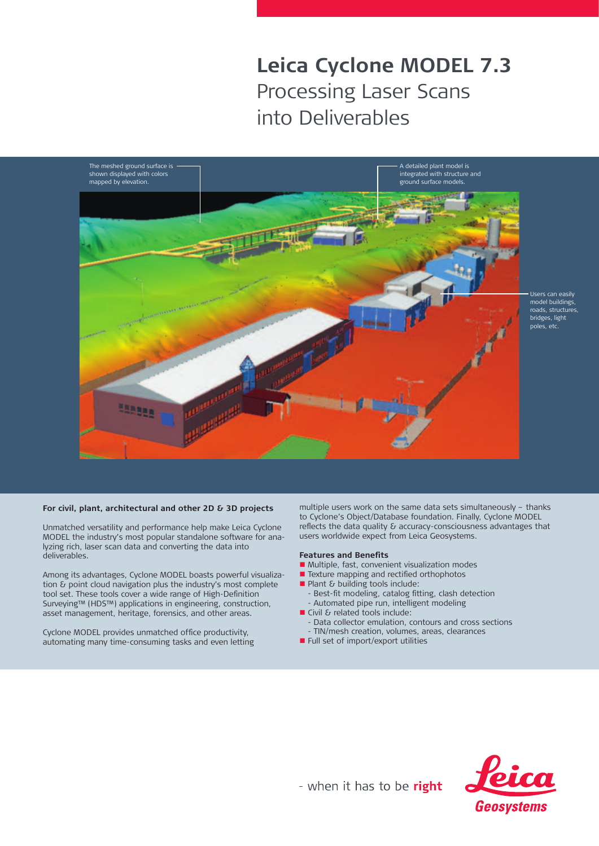# **Leica Cyclone MODEL 7.3** Processing Laser Scans into Deliverables



### **For civil, plant, architectural and other 2D & 3D projects**

Unmatched versatility and performance help make Leica Cyclone MODEL the industry's most popular standalone software for analyzing rich, laser scan data and converting the data into deliverables.

Among its advantages, Cyclone MODEL boasts powerful visualization & point cloud navigation plus the industry's most complete tool set. These tools cover a wide range of High-Definition Surveying™ (HDS™) applications in engineering, construction, asset management, heritage, forensics, and other areas.

Cyclone MODEL provides unmatched office productivity, automating many time-consuming tasks and even letting

multiple users work on the same data sets simultaneously – thanks to Cyclone's Object/Database foundation. Finally, Cyclone MODEL reflects the data quality & accuracy-consciousness advantages that users worldwide expect from Leica Geosystems.

#### **Features and Benefits**

- Multiple, fast, convenient visualization modes
- **n** Texture mapping and rectified orthophotos
- $\blacksquare$  Plant & building tools include: Best-fit modeling, catalog fitting, clash detection
	- Automated pipe run, intelligent modeling
- $\blacksquare$  Civil & related tools include:
	- Data collector emulation, contours and cross sections
- TIN/mesh creation, volumes, areas, clearances
- Full set of import/export utilities



- when it has to be right